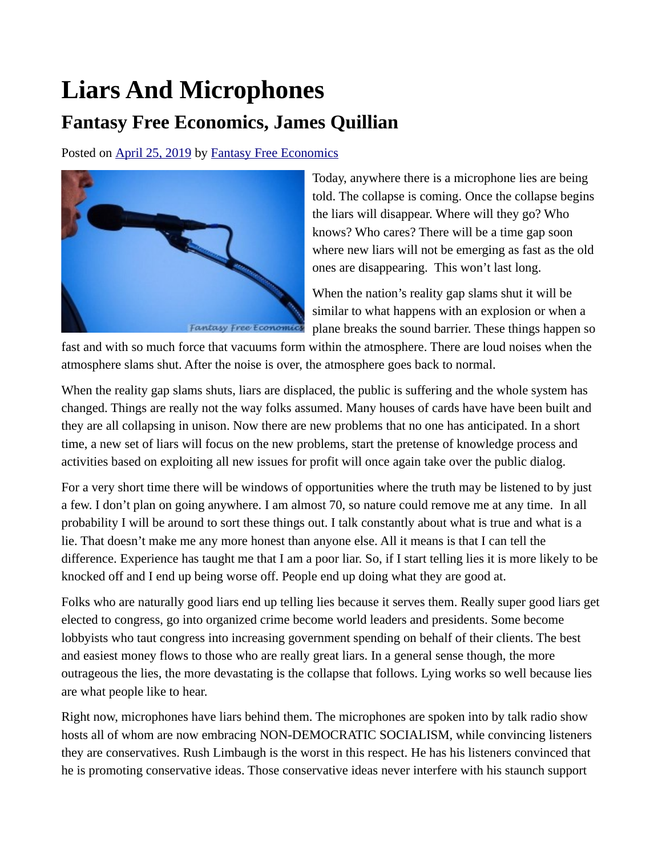## **Liars And Microphones Fantasy Free Economics, James Quillian**

Posted on [April 25, 2019](http://quillian.net/blog/?p=6239) by [Fantasy Free Economics](http://quillian.net/blog/author/james-quillian/)



Today, anywhere there is a microphone lies are being told. The collapse is coming. Once the collapse begins the liars will disappear. Where will they go? Who knows? Who cares? There will be a time gap soon where new liars will not be emerging as fast as the old ones are disappearing. This won't last long.

When the nation's reality gap slams shut it will be similar to what happens with an explosion or when a plane breaks the sound barrier. These things happen so

fast and with so much force that vacuums form within the atmosphere. There are loud noises when the atmosphere slams shut. After the noise is over, the atmosphere goes back to normal.

When the reality gap slams shuts, liars are displaced, the public is suffering and the whole system has changed. Things are really not the way folks assumed. Many houses of cards have have been built and they are all collapsing in unison. Now there are new problems that no one has anticipated. In a short time, a new set of liars will focus on the new problems, start the pretense of knowledge process and activities based on exploiting all new issues for profit will once again take over the public dialog.

For a very short time there will be windows of opportunities where the truth may be listened to by just a few. I don't plan on going anywhere. I am almost 70, so nature could remove me at any time. In all probability I will be around to sort these things out. I talk constantly about what is true and what is a lie. That doesn't make me any more honest than anyone else. All it means is that I can tell the difference. Experience has taught me that I am a poor liar. So, if I start telling lies it is more likely to be knocked off and I end up being worse off. People end up doing what they are good at.

Folks who are naturally good liars end up telling lies because it serves them. Really super good liars get elected to congress, go into organized crime become world leaders and presidents. Some become lobbyists who taut congress into increasing government spending on behalf of their clients. The best and easiest money flows to those who are really great liars. In a general sense though, the more outrageous the lies, the more devastating is the collapse that follows. Lying works so well because lies are what people like to hear.

Right now, microphones have liars behind them. The microphones are spoken into by talk radio show hosts all of whom are now embracing NON-DEMOCRATIC SOCIALISM, while convincing listeners they are conservatives. Rush Limbaugh is the worst in this respect. He has his listeners convinced that he is promoting conservative ideas. Those conservative ideas never interfere with his staunch support